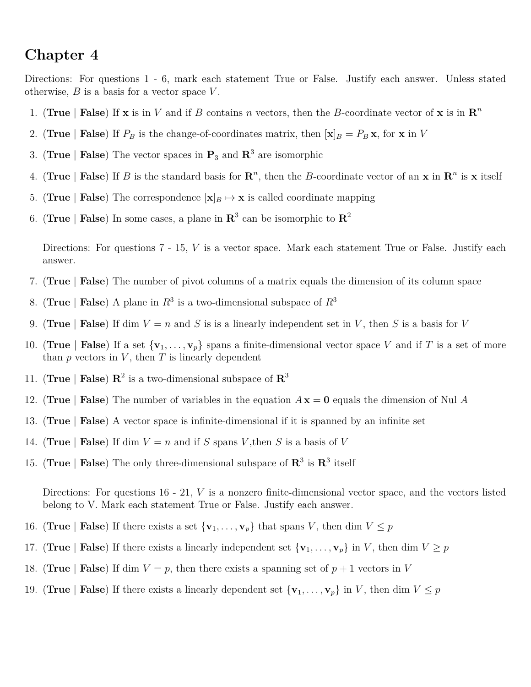## **Chapter 4**

Directions: For questions 1 - 6, mark each statement True or False. Justify each answer. Unless stated otherwise, *B* is a basis for a vector space *V* .

- 1. (True | False) If **x** is in *V* and if *B* contains *n* vectors, then the *B*-coordinate vector of **x** is in  $\mathbb{R}^n$
- 2. (**True** | **False**) If  $P_B$  is the change-of-coordinates matrix, then  $[\mathbf{x}]_B = P_B \mathbf{x}$ , for **x** in *V*
- 3. (**True** | **False**) The vector spaces in  $P_3$  and  $R^3$  are isomorphic
- 4. (True | **False**) If *B* is the standard basis for  $\mathbb{R}^n$ , then the *B*-coordinate vector of an **x** in  $\mathbb{R}^n$  is **x** itself
- 5. (**True** | **False**) The correspondence  $[\mathbf{x}]_B \mapsto \mathbf{x}$  is called coordinate mapping
- 6. (**True** | **False**) In some cases, a plane in **R** 3 can be isomorphic to **R** 2

Directions: For questions 7 - 15, *V* is a vector space. Mark each statement True or False. Justify each answer.

- 7. (**True** | **False**) The number of pivot columns of a matrix equals the dimension of its column space
- 8. (**True** | **False**) A plane in  $R^3$  is a two-dimensional subspace of  $R^3$
- 9. (**True** | **False**) If dim  $V = n$  and *S* is is a linearly independent set in *V*, then *S* is a basis for *V*
- 10. (True | False) If a set  $\{v_1, \ldots, v_p\}$  spans a finite-dimensional vector space V and if T is a set of more than  $p$  vectors in  $V$ , then  $T$  is linearly dependent
- 11. (**True** | **False**)  $\mathbb{R}^2$  is a two-dimensional subspace of  $\mathbb{R}^3$
- 12. (**True** | **False**) The number of variables in the equation  $A\mathbf{x} = \mathbf{0}$  equals the dimension of Nul *A*
- 13. (**True** | **False**) A vector space is infinite-dimensional if it is spanned by an infinite set
- 14. (**True** | **False**) If dim  $V = n$  and if *S* spans *V*, then *S* is a basis of *V*
- 15. (True | **False**) The only three-dimensional subspace of  $\mathbb{R}^3$  is  $\mathbb{R}^3$  itself

Directions: For questions 16 - 21, *V* is a nonzero finite-dimensional vector space, and the vectors listed belong to V. Mark each statement True or False. Justify each answer.

- 16. (**True** | **False**) If there exists a set  $\{v_1, \ldots, v_p\}$  that spans *V*, then dim  $V \leq p$
- 17. (**True** | **False**) If there exists a linearly independent set  $\{v_1, \ldots, v_p\}$  in *V*, then dim  $V \geq p$
- 18. (**True** | **False**) If dim  $V = p$ , then there exists a spanning set of  $p + 1$  vectors in V
- 19. (**True** | **False**) If there exists a linearly dependent set  $\{v_1, \ldots, v_p\}$  in *V*, then dim  $V \leq p$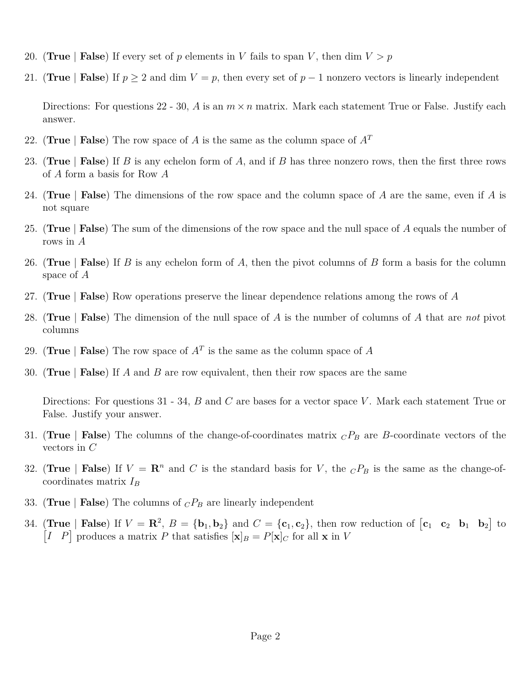- 20. (**True** | **False**) If every set of p elements in V fails to span V, then dim  $V > p$
- 21. (**True** | **False**) If  $p \ge 2$  and dim  $V = p$ , then every set of  $p 1$  nonzero vectors is linearly independent

Directions: For questions 22 - 30, *A* is an  $m \times n$  matrix. Mark each statement True or False. Justify each answer.

- 22. (**True** | **False**) The row space of *A* is the same as the column space of *A<sup>T</sup>*
- 23. (**True** | **False**) If *B* is any echelon form of *A*, and if *B* has three nonzero rows, then the first three rows of *A* form a basis for Row *A*
- 24. (**True** | **False**) The dimensions of the row space and the column space of *A* are the same, even if *A* is not square
- 25. (**True** | **False**) The sum of the dimensions of the row space and the null space of *A* equals the number of rows in *A*
- 26. (**True** | **False**) If *B* is any echelon form of *A*, then the pivot columns of *B* form a basis for the column space of *A*
- 27. (**True** | **False**) Row operations preserve the linear dependence relations among the rows of *A*
- 28. (**True** | **False**) The dimension of the null space of *A* is the number of columns of *A* that are *not* pivot columns
- 29. (**True** | **False**) The row space of  $A<sup>T</sup>$  is the same as the column space of  $A$
- 30. (**True** | **False**) If *A* and *B* are row equivalent, then their row spaces are the same

Directions: For questions 31 - 34, *B* and *C* are bases for a vector space *V*. Mark each statement True or False. Justify your answer.

- 31. (**True** | **False**) The columns of the change-of-coordinates matrix *<sup>C</sup>P<sup>B</sup>* are *B*-coordinate vectors of the vectors in *C*
- 32. (True | **False**) If  $V = \mathbb{R}^n$  and C is the standard basis for V, the  $cP_B$  is the same as the change-ofcoordinates matrix *I<sup>B</sup>*
- 33. (True | False) The columns of  $\,P_B$  are linearly independent
- 34. (True | False) If  $V = \mathbb{R}^2$ ,  $B = \{b_1, b_2\}$  and  $C = \{c_1, c_2\}$ , then row reduction of  $[c_1 \ c_2 \ b_1 \ b_2]$  to [*I P*] produces a matrix *P* that satisfies  $[\mathbf{x}]_B = P[\mathbf{x}]_C$  for all **x** in *V*